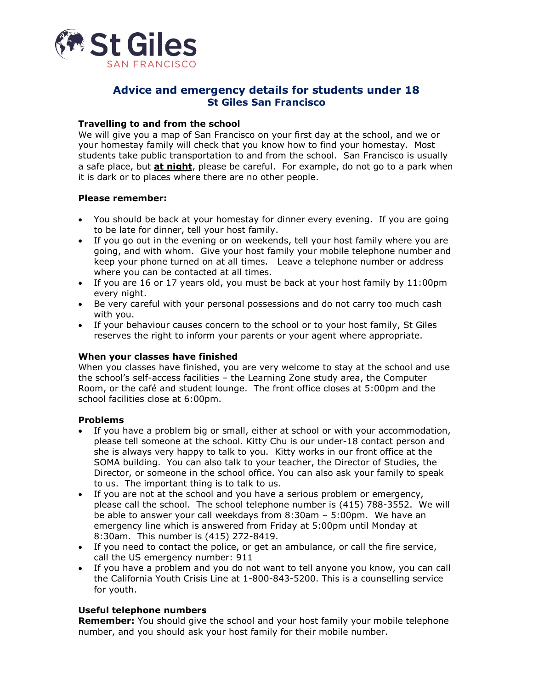

# **Advice and emergency details for students under 18 St Giles San Francisco**

## **Travelling to and from the school**

We will give you a map of San Francisco on your first day at the school, and we or your homestay family will check that you know how to find your homestay. Most students take public transportation to and from the school. San Francisco is usually a safe place, but **at night**, please be careful. For example, do not go to a park when it is dark or to places where there are no other people.

#### **Please remember:**

- You should be back at your homestay for dinner every evening. If you are going to be late for dinner, tell your host family.
- If you go out in the evening or on weekends, tell your host family where you are going, and with whom. Give your host family your mobile telephone number and keep your phone turned on at all times. Leave a telephone number or address where you can be contacted at all times.
- If you are 16 or 17 years old, you must be back at your host family by 11:00pm every night.
- Be very careful with your personal possessions and do not carry too much cash with you.
- If your behaviour causes concern to the school or to your host family, St Giles reserves the right to inform your parents or your agent where appropriate.

#### **When your classes have finished**

When you classes have finished, you are very welcome to stay at the school and use the school's self-access facilities – the Learning Zone study area, the Computer Room, or the café and student lounge. The front office closes at 5:00pm and the school facilities close at 6:00pm.

#### **Problems**

- If you have a problem big or small, either at school or with your accommodation, please tell someone at the school. Kitty Chu is our under-18 contact person and she is always very happy to talk to you. Kitty works in our front office at the SOMA building. You can also talk to your teacher, the Director of Studies, the Director, or someone in the school office. You can also ask your family to speak to us. The important thing is to talk to us.
- If you are not at the school and you have a serious problem or emergency, please call the school. The school telephone number is (415) 788-3552. We will be able to answer your call weekdays from 8:30am – 5:00pm. We have an emergency line which is answered from Friday at 5:00pm until Monday at 8:30am. This number is (415) 272-8419.
- If you need to contact the police, or get an ambulance, or call the fire service, call the US emergency number: 911
- If you have a problem and you do not want to tell anyone you know, you can call the California Youth Crisis Line at 1-800-843-5200. This is a counselling service for youth.

#### **Useful telephone numbers**

**Remember:** You should give the school and your host family your mobile telephone number, and you should ask your host family for their mobile number.